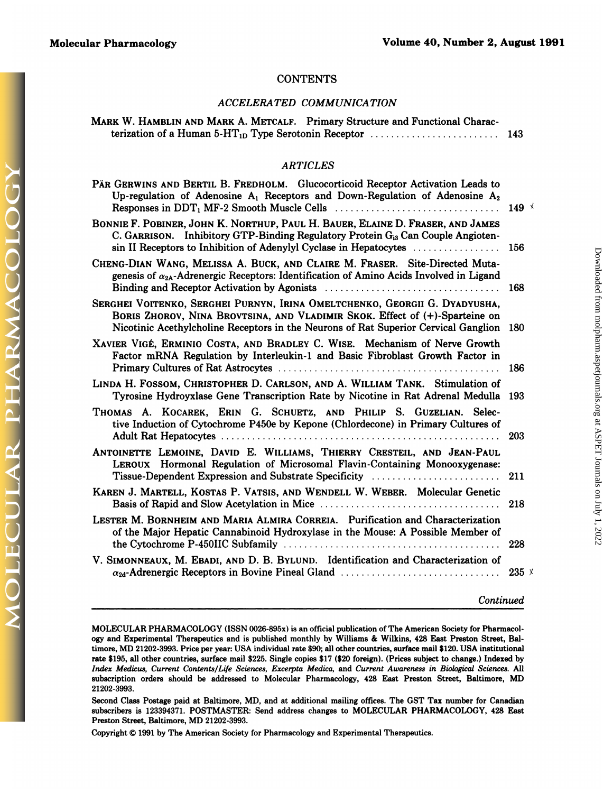# **CONTENTS**

### *ACCELERA TED COMMUNICATION*

| <b>CONTENTS</b>                                                                                                                                                                                          |  |
|----------------------------------------------------------------------------------------------------------------------------------------------------------------------------------------------------------|--|
| ACCELERATED COMMUNICATION                                                                                                                                                                                |  |
| MARK W. HAMBLIN AND MARK A. METCALF. Primary Structure and Functional Charac-<br>terization of a Human 5-HT <sub>1D</sub> Type Serotonin Receptor $\ldots \ldots \ldots \ldots \ldots \ldots \ldots$ 143 |  |

# *ARTICLES*

| terization of a Human 5-H <sub>1p</sub> Type Serotonin Receptor $\ldots \ldots \ldots \ldots \ldots \ldots \ldots$ 143                                                                                                                             |                              |
|----------------------------------------------------------------------------------------------------------------------------------------------------------------------------------------------------------------------------------------------------|------------------------------|
| <b>ARTICLES</b>                                                                                                                                                                                                                                    |                              |
| PÄR GERWINS AND BERTIL B. FREDHOLM. Glucocorticoid Receptor Activation Leads to<br>Up-regulation of Adenosine $A_1$ Receptors and Down-Regulation of Adenosine $A_2$                                                                               | 149 $\overline{\phantom{0}}$ |
| BONNIE F. POBINER, JOHN K. NORTHUP, PAUL H. BAUER, ELAINE D. FRASER, AND JAMES<br>C. GARRISON. Inhibitory GTP-Binding Regulatory Protein G <sub>i3</sub> Can Couple Angioten-<br>sin II Receptors to Inhibition of Adenylyl Cyclase in Hepatocytes | 156                          |
| CHENG-DIAN WANG, MELISSA A. BUCK, AND CLAIRE M. FRASER. Site-Directed Muta-<br>genesis of $\alpha_{2A}$ -Adrenergic Receptors: Identification of Amino Acids Involved in Ligand                                                                    | 168                          |
| SERGHEI VOITENKO, SERGHEI PURNYN, IRINA OMELTCHENKO, GEORGII G. DYADYUSHA,<br>BORIS ZHOROV, NINA BROVTSINA, AND VLADIMIR SKOK. Effect of (+)-Sparteine on<br>Nicotinic Acethylcholine Receptors in the Neurons of Rat Superior Cervical Ganglion   | 180                          |
| XAVIER VIGÉ, ERMINIO COSTA, AND BRADLEY C. WISE. Mechanism of Nerve Growth<br>Factor mRNA Regulation by Interleukin-1 and Basic Fibroblast Growth Factor in                                                                                        | 186                          |
| LINDA H. FOSSOM, CHRISTOPHER D. CARLSON, AND A. WILLIAM TANK. Stimulation of<br>Tyrosine Hydroyxlase Gene Transcription Rate by Nicotine in Rat Adrenal Medulla                                                                                    | 193                          |
| THOMAS A. KOCAREK, ERIN G. SCHUETZ, AND PHILIP S. GUZELIAN. Selec-<br>tive Induction of Cytochrome P450e by Kepone (Chlordecone) in Primary Cultures of                                                                                            | 203                          |
| ANTOINETTE LEMOINE, DAVID E. WILLIAMS, THIERRY CRESTEIL, AND JEAN-PAUL<br>LEROUX Hormonal Regulation of Microsomal Flavin-Containing Monooxygenase:<br>Tissue-Dependent Expression and Substrate Specificity (Marshall Community)                  | 211                          |
| KAREN J. MARTELL, KOSTAS P. VATSIS, AND WENDELL W. WEBER. Molecular Genetic                                                                                                                                                                        | 218                          |
| LESTER M. BORNHEIM AND MARIA ALMIRA CORREIA. Purification and Characterization<br>of the Major Hepatic Cannabinoid Hydroxylase in the Mouse: A Possible Member of                                                                                  | 228                          |
| V. SIMONNEAUX, M. EBADI, AND D. B. BYLUND. Identification and Characterization of                                                                                                                                                                  | $235 \times$                 |
|                                                                                                                                                                                                                                                    |                              |

# *Continued*

Downloaded from molpharm.aspetjournals.org at ASPET Journals on July 1, 2022 Downloaded from [molpharm.aspetjournals.org](http://molpharm.aspetjournals.org/) at ASPET Journals on July 1, 2022

Continued<br>MOLECULAR PHARMACOLOGY (ISSN 0026-895x) is an official publication of The American Society for Pharmacol-<br>ogy and Experimental Therapeutics and is published monthly by Williams & Wilkins, 428 East Preston Street, MOLECULAR PHARMACOLOGY (ISSN 0026-895x) is an official publication of The American Society for Pharmacce of Ma<br>The Mannes of Mannes and is published monthly by Williams & Wilkins, 428 East Preston Street, Betimore, MD 2120 MOLECULAR PHARMACOLOGY (ISSN 0026-895x) is an official publication of The American Society for Pharmacology and Experimental Therapeutics and is published monthly by Williams & Wilkins, 428 East Preston Street, Bal-<br>timore ogy and Experimental Therapeutics and is published monthly by Williams & Wilkins, 428 East Preston Street, Baltimore, MD 21202-3993. Price per year: USA individual rate \$90; all other countries, surface mail \$120. USA inst subscription orders should be addressed to Molecular Pharmacology, 428 East Preston Street, Baltimore, MD

subscribers is 123394371. POSTMASTER: Send address changes to MOLECULAR PHARMACOLOGY, 428 East Preston Street, Baltimore, MD 21202-3993.<br>Preston Street, Baltimore, MD 21202-3993.<br>Copyright © 1991 by The American Society fo Second Class Postage paid at Baltimore, MD, and at additional mailing offices. The GST Tax number for Canadian